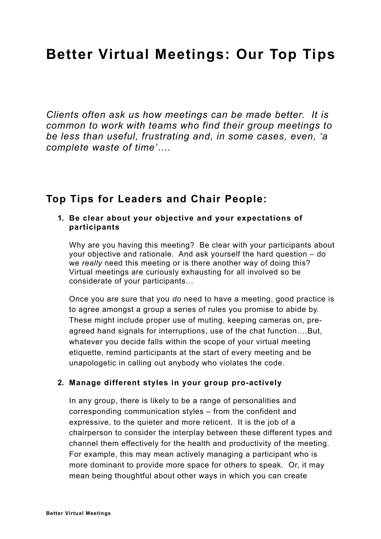# **Better Virtual Meetings: Our Top Tips**

*Clients often ask us how meetings can be made better. It is common to work with teams who find their group meetings to be less than useful, frustrating and, in some cases, even, 'a complete waste of time'….* 

## **Top Tips for Leaders and Chair People:**

#### **1. Be clear about your objective and your expectations of participants**

Why are you having this meeting? Be clear with your participants about your objective and rationale. And ask yourself the hard question – do we *really* need this meeting or is there another way of doing this? Virtual meetings are curiously exhausting for all involved so be considerate of your participants…

Once you are sure that you *do* need to have a meeting, good practice is to agree amongst a group a series of rules you promise to abide by. These might include proper use of muting, keeping cameras on, preagreed hand signals for interruptions, use of the chat function….But, whatever you decide falls within the scope of your virtual meeting etiquette, remind participants at the start of every meeting and be unapologetic in calling out anybody who violates the code.

#### **2. Manage different styles in your group pro-actively**

In any group, there is likely to be a range of personalities and corresponding communication styles – from the confident and expressive, to the quieter and more reticent. It is the job of a chairperson to consider the interplay between these different types and channel them effectively for the health and productivity of the meeting. For example, this may mean actively managing a participant who is more dominant to provide more space for others to speak. Or, it may mean being thoughtful about other ways in which you can create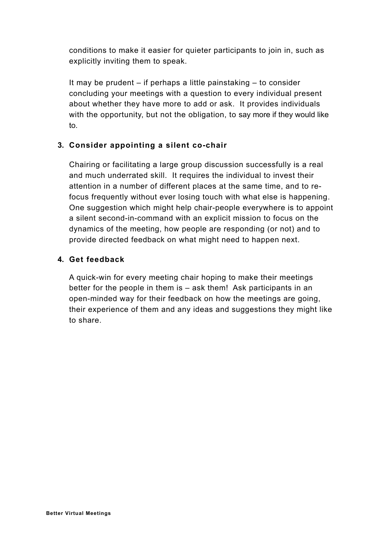conditions to make it easier for quieter participants to join in, such as explicitly inviting them to speak.

It may be prudent – if perhaps a little painstaking – to consider concluding your meetings with a question to every individual present about whether they have more to add or ask. It provides individuals with the opportunity, but not the obligation, to say more if they would like to.

#### **3. Consider appointing a silent co-chair**

Chairing or facilitating a large group discussion successfully is a real and much underrated skill. It requires the individual to invest their attention in a number of different places at the same time, and to refocus frequently without ever losing touch with what else is happening. One suggestion which might help chair-people everywhere is to appoint a silent second-in-command with an explicit mission to focus on the dynamics of the meeting, how people are responding (or not) and to provide directed feedback on what might need to happen next.

#### **4. Get feedback**

A quick-win for every meeting chair hoping to make their meetings better for the people in them is – ask them! Ask participants in an open-minded way for their feedback on how the meetings are going, their experience of them and any ideas and suggestions they might like to share.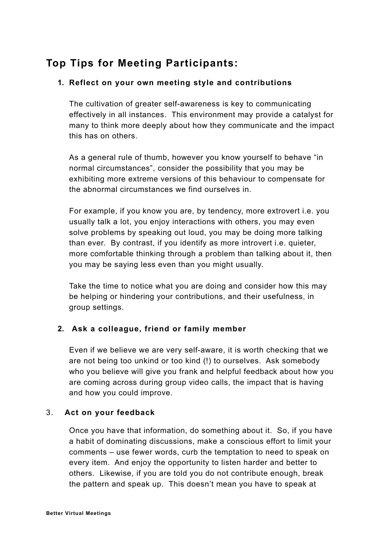# **Top Tips for Meeting Participants:**

#### **1. Reflect on your own meeting style and contributions**

The cultivation of greater self-awareness is key to communicating effectively in all instances. This environment may provide a catalyst for many to think more deeply about how they communicate and the impact this has on others.

As a general rule of thumb, however you know yourself to behave "in normal circumstances", consider the possibility that you may be exhibiting more extreme versions of this behaviour to compensate for the abnormal circumstances we find ourselves in.

For example, if you know you are, by tendency, more extrovert i.e. you usually talk a lot, you enjoy interactions with others, you may even solve problems by speaking out loud, you may be doing more talking than ever. By contrast, if you identify as more introvert i.e. quieter, more comfortable thinking through a problem than talking about it, then you may be saying less even than you might usually.

Take the time to notice what you are doing and consider how this may be helping or hindering your contributions, and their usefulness, in group settings.

#### **2. Ask a colleague, friend or family member**

Even if we believe we are very self-aware, it is worth checking that we are not being too unkind or too kind (!) to ourselves. Ask somebody who you believe will give you frank and helpful feedback about how you are coming across during group video calls, the impact that is having and how you could improve.

#### 3. **Act on your feedback**

Once you have that information, do something about it. So, if you have a habit of dominating discussions, make a conscious effort to limit your comments – use fewer words, curb the temptation to need to speak on every item. And enjoy the opportunity to listen harder and better to others. Likewise, if you are told you do not contribute enough, break the pattern and speak up. This doesn't mean you have to speak at